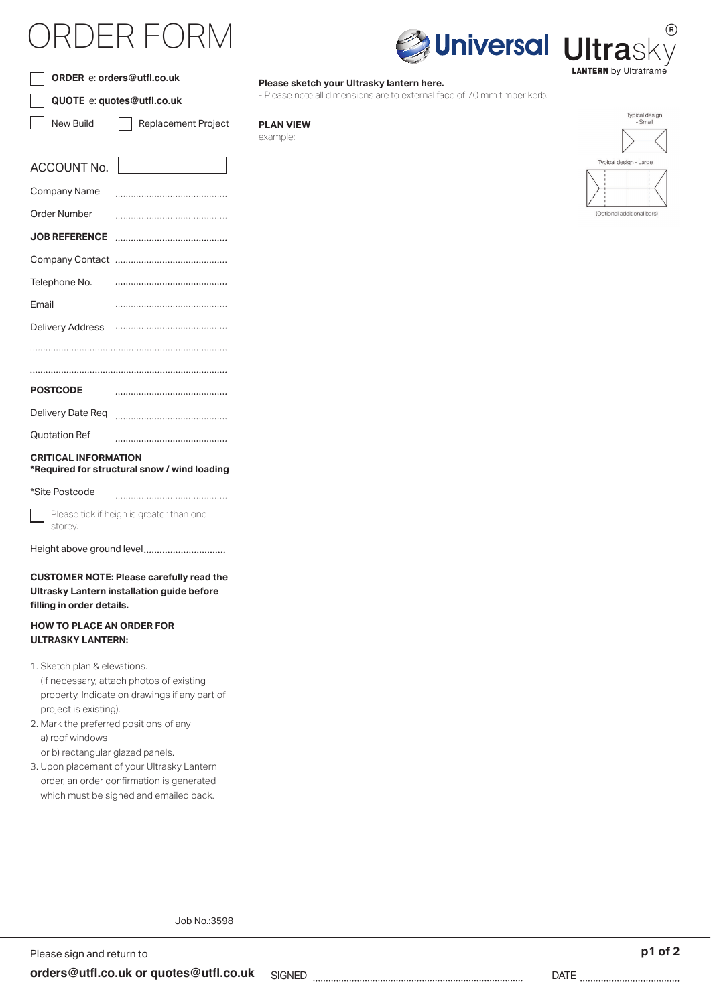## )FR FOF



**\*Required for structural snow / wind loading**

| *Site Postcode |
|----------------|
|----------------|

Please tick if heigh is greater than one storey.

Height above ground level

**CUSTOMER NOTE: Please carefully read the Ultrasky Lantern installation guide before**  filling in order details.

## **HOW TO PLACE AN ORDER FOR ULTRASKY LANTERN:**

- 1. Sketch plan & elevations. (If necessary, attach photos of existing property. Indicate on drawings if any part of project is existing).
- 2. Mark the preferred positions of any a) roof windows

or b) rectangular glazed panels.

3. Upon placement of your Ultrasky Lantern order, an order confirmation is generated which must be signed and emailed back.

**Please sketch your Ultrasky lantern here.**

- Please note all dimensions are to external face of 70 mm timber kerb.

**PLAN VIEW** example:



**ANTERN** by Ultraframe

**Universal Ultrasl** 

Job No.:3598